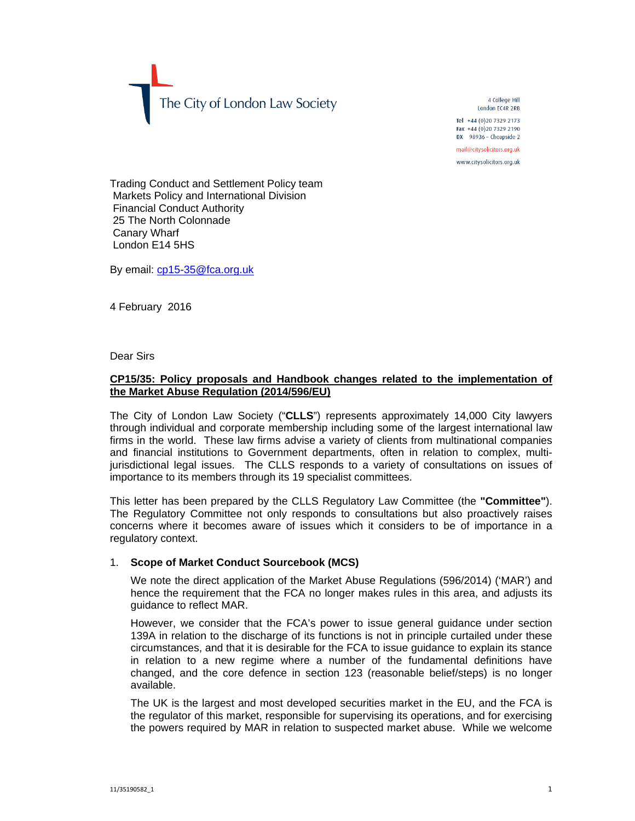The City of London Law Society

4 College Hill London EC4R 2RB Tel +44 (0) 20 7329 2173 Fax +44 (0)20 7329 2190  $DX$  98936 - Cheapside 2

mail@citysolicitors.org.uk

www.citysolicitors.org.uk

Trading Conduct and Settlement Policy team Markets Policy and International Division Financial Conduct Authority 25 The North Colonnade Canary Wharf London E14 5HS

By email: cp15-35@fca.org.uk

4 February 2016

Dear Sirs

## **CP15/35: Policy proposals and Handbook changes related to the implementation of the Market Abuse Regulation (2014/596/EU)**

The City of London Law Society ("**CLLS**") represents approximately 14,000 City lawyers through individual and corporate membership including some of the largest international law firms in the world. These law firms advise a variety of clients from multinational companies and financial institutions to Government departments, often in relation to complex, multijurisdictional legal issues. The CLLS responds to a variety of consultations on issues of importance to its members through its 19 specialist committees.

This letter has been prepared by the CLLS Regulatory Law Committee (the **"Committee"**). The Regulatory Committee not only responds to consultations but also proactively raises concerns where it becomes aware of issues which it considers to be of importance in a regulatory context.

## 1. **Scope of Market Conduct Sourcebook (MCS)**

We note the direct application of the Market Abuse Regulations (596/2014) ('MAR') and hence the requirement that the FCA no longer makes rules in this area, and adjusts its guidance to reflect MAR.

However, we consider that the FCA's power to issue general guidance under section 139A in relation to the discharge of its functions is not in principle curtailed under these circumstances, and that it is desirable for the FCA to issue guidance to explain its stance in relation to a new regime where a number of the fundamental definitions have changed, and the core defence in section 123 (reasonable belief/steps) is no longer available.

The UK is the largest and most developed securities market in the EU, and the FCA is the regulator of this market, responsible for supervising its operations, and for exercising the powers required by MAR in relation to suspected market abuse. While we welcome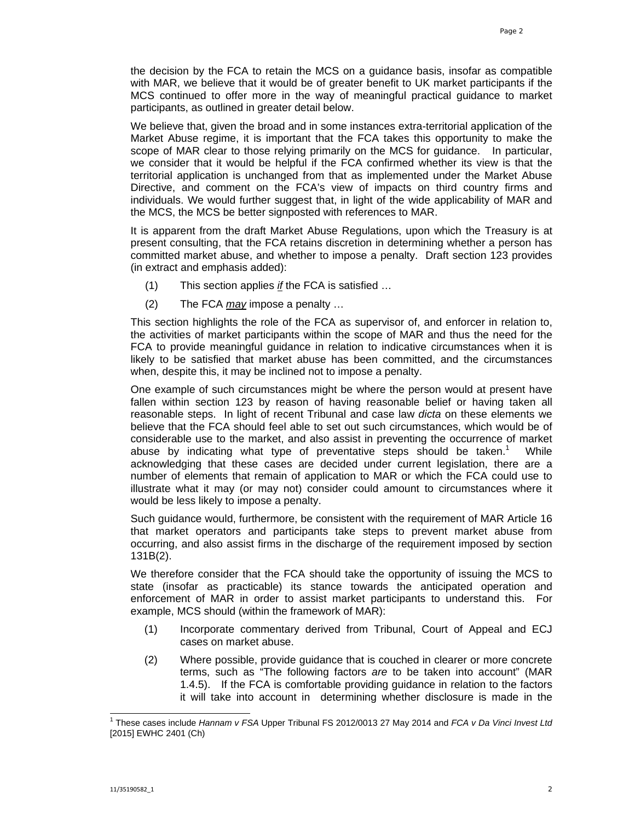the decision by the FCA to retain the MCS on a guidance basis, insofar as compatible with MAR, we believe that it would be of greater benefit to UK market participants if the MCS continued to offer more in the way of meaningful practical guidance to market participants, as outlined in greater detail below.

We believe that, given the broad and in some instances extra-territorial application of the Market Abuse regime, it is important that the FCA takes this opportunity to make the scope of MAR clear to those relying primarily on the MCS for guidance. In particular, we consider that it would be helpful if the FCA confirmed whether its view is that the territorial application is unchanged from that as implemented under the Market Abuse Directive, and comment on the FCA's view of impacts on third country firms and individuals. We would further suggest that, in light of the wide applicability of MAR and the MCS, the MCS be better signposted with references to MAR.

It is apparent from the draft Market Abuse Regulations, upon which the Treasury is at present consulting, that the FCA retains discretion in determining whether a person has committed market abuse, and whether to impose a penalty. Draft section 123 provides (in extract and emphasis added):

- (1) This section applies *if* the FCA is satisfied …
- (2) The FCA *may* impose a penalty …

This section highlights the role of the FCA as supervisor of, and enforcer in relation to, the activities of market participants within the scope of MAR and thus the need for the FCA to provide meaningful guidance in relation to indicative circumstances when it is likely to be satisfied that market abuse has been committed, and the circumstances when, despite this, it may be inclined not to impose a penalty.

One example of such circumstances might be where the person would at present have fallen within section 123 by reason of having reasonable belief or having taken all reasonable steps. In light of recent Tribunal and case law *dicta* on these elements we believe that the FCA should feel able to set out such circumstances, which would be of considerable use to the market, and also assist in preventing the occurrence of market abuse by indicating what type of preventative steps should be taken.<sup>1</sup> While acknowledging that these cases are decided under current legislation, there are a number of elements that remain of application to MAR or which the FCA could use to illustrate what it may (or may not) consider could amount to circumstances where it would be less likely to impose a penalty.

Such guidance would, furthermore, be consistent with the requirement of MAR Article 16 that market operators and participants take steps to prevent market abuse from occurring, and also assist firms in the discharge of the requirement imposed by section 131B(2).

We therefore consider that the FCA should take the opportunity of issuing the MCS to state (insofar as practicable) its stance towards the anticipated operation and enforcement of MAR in order to assist market participants to understand this. For example, MCS should (within the framework of MAR):

- (1) Incorporate commentary derived from Tribunal, Court of Appeal and ECJ cases on market abuse.
- (2) Where possible, provide guidance that is couched in clearer or more concrete terms, such as "The following factors *are* to be taken into account" (MAR 1.4.5). If the FCA is comfortable providing guidance in relation to the factors it will take into account in determining whether disclosure is made in the

 $\overline{\phantom{a}}$ 1 These cases include *Hannam v FSA* Upper Tribunal FS 2012/0013 27 May 2014 and *FCA v Da Vinci Invest Ltd* [2015] EWHC 2401 (Ch)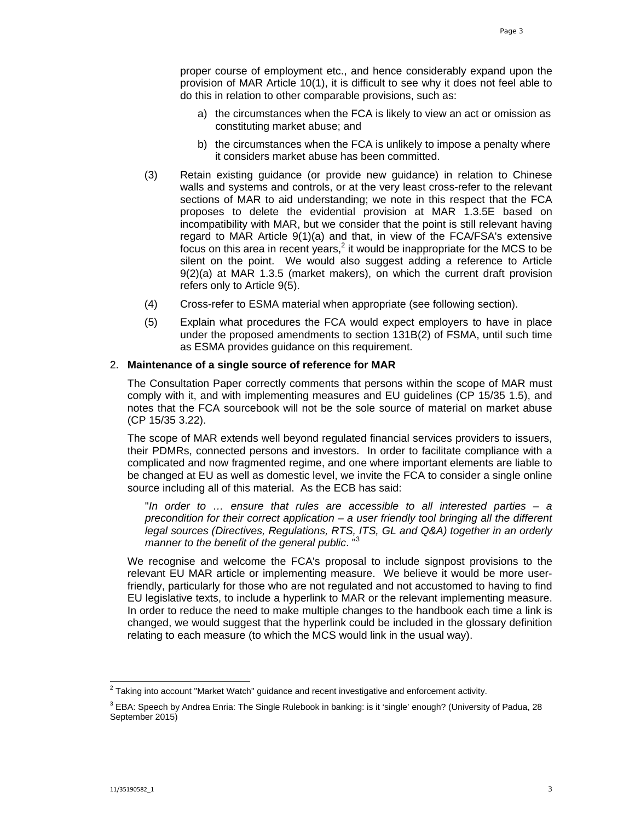proper course of employment etc., and hence considerably expand upon the provision of MAR Article 10(1), it is difficult to see why it does not feel able to do this in relation to other comparable provisions, such as:

- a) the circumstances when the FCA is likely to view an act or omission as constituting market abuse; and
- b) the circumstances when the FCA is unlikely to impose a penalty where it considers market abuse has been committed.
- (3) Retain existing guidance (or provide new guidance) in relation to Chinese walls and systems and controls, or at the very least cross-refer to the relevant sections of MAR to aid understanding; we note in this respect that the FCA proposes to delete the evidential provision at MAR 1.3.5E based on incompatibility with MAR, but we consider that the point is still relevant having regard to MAR Article 9(1)(a) and that, in view of the FCA/FSA's extensive focus on this area in recent years,<sup>2</sup> it would be inappropriate for the MCS to be silent on the point. We would also suggest adding a reference to Article 9(2)(a) at MAR 1.3.5 (market makers), on which the current draft provision refers only to Article 9(5).
- (4) Cross-refer to ESMA material when appropriate (see following section).
- (5) Explain what procedures the FCA would expect employers to have in place under the proposed amendments to section 131B(2) of FSMA, until such time as ESMA provides guidance on this requirement.

### 2. **Maintenance of a single source of reference for MAR**

The Consultation Paper correctly comments that persons within the scope of MAR must comply with it, and with implementing measures and EU guidelines (CP 15/35 1.5), and notes that the FCA sourcebook will not be the sole source of material on market abuse (CP 15/35 3.22).

The scope of MAR extends well beyond regulated financial services providers to issuers, their PDMRs, connected persons and investors. In order to facilitate compliance with a complicated and now fragmented regime, and one where important elements are liable to be changed at EU as well as domestic level, we invite the FCA to consider a single online source including all of this material. As the ECB has said:

"*In order to … ensure that rules are accessible to all interested parties – a precondition for their correct application – a user friendly tool bringing all the different legal sources (Directives, Regulations, RTS, ITS, GL and Q&A) together in an orderly manner to the benefit of the general public*. "<sup>3</sup>

We recognise and welcome the FCA's proposal to include signpost provisions to the relevant EU MAR article or implementing measure. We believe it would be more userfriendly, particularly for those who are not regulated and not accustomed to having to find EU legislative texts, to include a hyperlink to MAR or the relevant implementing measure. In order to reduce the need to make multiple changes to the handbook each time a link is changed, we would suggest that the hyperlink could be included in the glossary definition relating to each measure (to which the MCS would link in the usual way).

 $^2$  Taking into account "Market Watch" guidance and recent investigative and enforcement activity.

<sup>&</sup>lt;sup>3</sup> EBA: Speech by Andrea Enria: The Single Rulebook in banking: is it 'single' enough? (University of Padua, 28 September 2015)